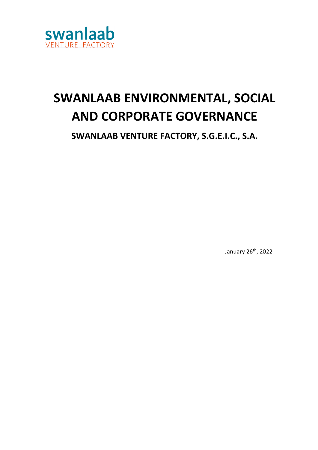

# **SWANLAAB ENVIRONMENTAL, SOCIAL AND CORPORATE GOVERNANCE**

**SWANLAAB VENTURE FACTORY, S.G.E.I.C., S.A.**

January 26th, 2022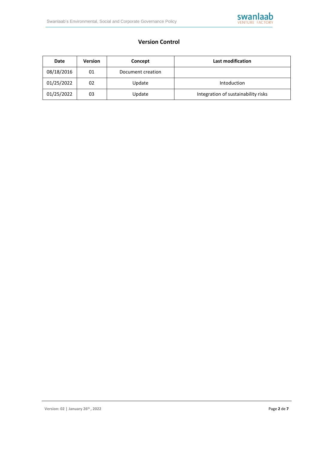

# **Version Control**

| Date       | <b>Version</b> | Concept           | Last modification                   |
|------------|----------------|-------------------|-------------------------------------|
| 08/18/2016 | 01             | Document creation |                                     |
| 01/25/2022 | 02             | Update            | Intoduction                         |
| 01/25/2022 | 03             | Update            | Integration of sustainability risks |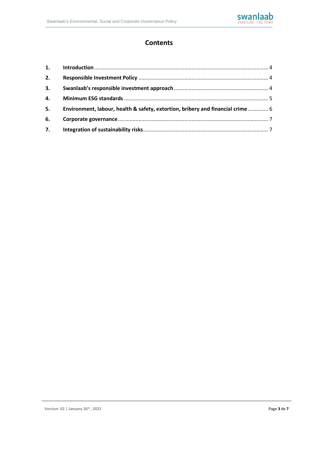

# **Contents**

| 2. |                                                                                |  |
|----|--------------------------------------------------------------------------------|--|
| 3. |                                                                                |  |
| 4. |                                                                                |  |
| 5. | Environment, labour, health & safety, extortion, bribery and financial crime 6 |  |
| 6. |                                                                                |  |
| 7. |                                                                                |  |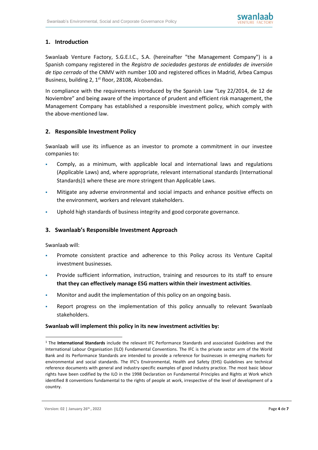# <span id="page-3-0"></span>**1. Introduction**

Swanlaab Venture Factory, S.G.E.I.C., S.A. (hereinafter "the Management Company") is a Spanish company registered in the *Registro de sociedades gestoras de entidades de inversión de tipo cerrado* of the CNMV with number 100 and registered offices in Madrid, Arbea Campus Business, building 2, 1<sup>st</sup> floor, 28108, Alcobendas.

In compliance with the requirements introduced by the Spanish Law "Ley 22/2014, de 12 de Noviembre" and being aware of the importance of prudent and efficient risk management, the Management Company has established a responsible investment policy, which comply with the above-mentioned law.

# <span id="page-3-1"></span>**2. Responsible Investment Policy**

Swanlaab will use its influence as an investor to promote a commitment in our investee companies to:

- Comply, as a minimum, with applicable local and international laws and regulations (Applicable Laws) and, where appropriate, relevant international standards (International Standards)1 where these are more stringent than Applicable Laws.
- Mitigate any adverse environmental and social impacts and enhance positive effects on the environment, workers and relevant stakeholders.
- Uphold high standards of business integrity and good corporate governance.

# <span id="page-3-2"></span>**3. Swanlaab's Responsible Investment Approach**

Swanlaab will:

- Promote consistent practice and adherence to this Policy across its Venture Capital investment businesses.
- Provide sufficient information, instruction, training and resources to its staff to ensure **that they can effectively manage ESG matters within their investment activities**.
- Monitor and audit the implementation of this policy on an ongoing basis.
- Report progress on the implementation of this policy annually to relevant Swanlaab stakeholders.

#### **Swanlaab will implement this policy in its new investment activities by:**

<sup>1</sup> The **International Standards** include the relevant IFC Performance Standards and associated Guidelines and the International Labour Organisation (ILO) Fundamental Conventions. The IFC is the private sector arm of the World Bank and its Performance Standards are intended to provide a reference for businesses in emerging markets for environmental and social standards. The IFC's Environmental, Health and Safety (EHS) Guidelines are technical reference documents with general and industry-specific examples of good industry practice. The most basic labour rights have been codified by the ILO in the 1998 Declaration on Fundamental Principles and Rights at Work which identified 8 conventions fundamental to the rights of people at work, irrespective of the level of development of a country.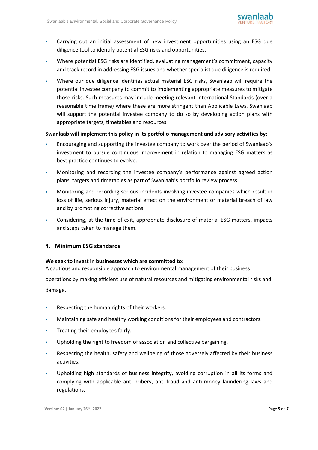- Carrying out an initial assessment of new investment opportunities using an ESG due diligence tool to identify potential ESG risks and opportunities.
- Where potential ESG risks are identified, evaluating management's commitment, capacity and track record in addressing ESG issues and whether specialist due diligence is required.
- Where our due diligence identifies actual material ESG risks, Swanlaab will require the potential investee company to commit to implementing appropriate measures to mitigate those risks. Such measures may include meeting relevant International Standards (over a reasonable time frame) where these are more stringent than Applicable Laws. Swanlaab will support the potential investee company to do so by developing action plans with appropriate targets, timetables and resources.

#### **Swanlaab will implement this policy in its portfolio management and advisory activities by:**

- Encouraging and supporting the investee company to work over the period of Swanlaab's investment to pursue continuous improvement in relation to managing ESG matters as best practice continues to evolve.
- Monitoring and recording the investee company's performance against agreed action plans, targets and timetables as part of Swanlaab's portfolio review process.
- Monitoring and recording serious incidents involving investee companies which result in loss of life, serious injury, material effect on the environment or material breach of law and by promoting corrective actions.
- Considering, at the time of exit, appropriate disclosure of material ESG matters, impacts and steps taken to manage them.

#### <span id="page-4-0"></span>**4. Minimum ESG standards**

#### **We seek to invest in businesses which are committed to:**

A cautious and responsible approach to environmental management of their business

operations by making efficient use of natural resources and mitigating environmental risks and damage.

- Respecting the human rights of their workers.
- Maintaining safe and healthy working conditions for their employees and contractors.
- Treating their employees fairly.
- Upholding the right to freedom of association and collective bargaining.
- Respecting the health, safety and wellbeing of those adversely affected by their business activities.
- Upholding high standards of business integrity, avoiding corruption in all its forms and complying with applicable anti-bribery, anti-fraud and anti-money laundering laws and regulations.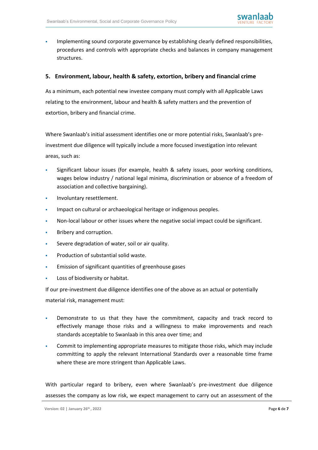

Implementing sound corporate governance by establishing clearly defined responsibilities, procedures and controls with appropriate checks and balances in company management structures.

### <span id="page-5-0"></span>**5. Environment, labour, health & safety, extortion, bribery and financial crime**

As a minimum, each potential new investee company must comply with all Applicable Laws relating to the environment, labour and health & safety matters and the prevention of extortion, bribery and financial crime.

Where Swanlaab's initial assessment identifies one or more potential risks, Swanlaab's preinvestment due diligence will typically include a more focused investigation into relevant areas, such as:

- Significant labour issues (for example, health & safety issues, poor working conditions, wages below industry / national legal minima, discrimination or absence of a freedom of association and collective bargaining).
- **·** Involuntary resettlement.
- Impact on cultural or archaeological heritage or indigenous peoples.
- Non-local labour or other issues where the negative social impact could be significant.
- Bribery and corruption.
- **EXECT** Severe degradation of water, soil or air quality.
- Production of substantial solid waste.
- Emission of significant quantities of greenhouse gases
- Loss of biodiversity or habitat.

If our pre-investment due diligence identifies one of the above as an actual or potentially material risk, management must:

- Demonstrate to us that they have the commitment, capacity and track record to effectively manage those risks and a willingness to make improvements and reach standards acceptable to Swanlaab in this area over time; and
- Commit to implementing appropriate measures to mitigate those risks, which may include committing to apply the relevant International Standards over a reasonable time frame where these are more stringent than Applicable Laws.

With particular regard to bribery, even where Swanlaab's pre-investment due diligence assesses the company as low risk, we expect management to carry out an assessment of the